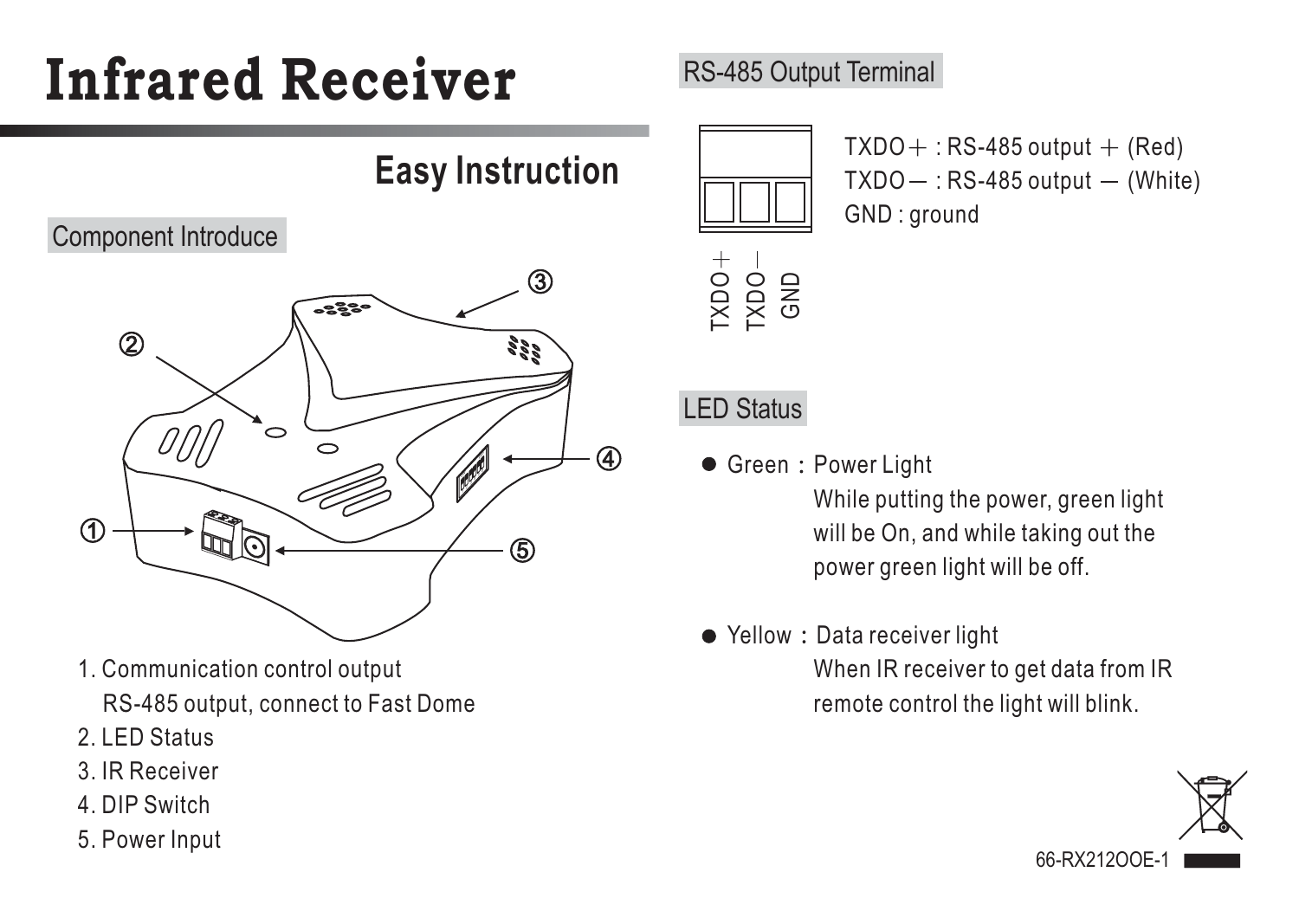# **Infrared Receiver**

**Easy Instruction**

#### Component Introduce



- 1. Communication control output RS-485 output, connect to Fast Dome
- 2. LED Status
- 3. IR Receiver
- 4. DIP Switch
- 5. Power Input

# RS-485 Output Terminal



 $TXDO + : RS-485$  output  $+$  (Red)  $TXDO - : RS-485$  output  $-$  (White) GND : around

## LED Status

Green: Power Light

While putting the power, green light will be On, and while taking out the power green light will be off.

### ● Yellow: Data receiver light

When IR receiver to get data from IR remote control the light will blink.